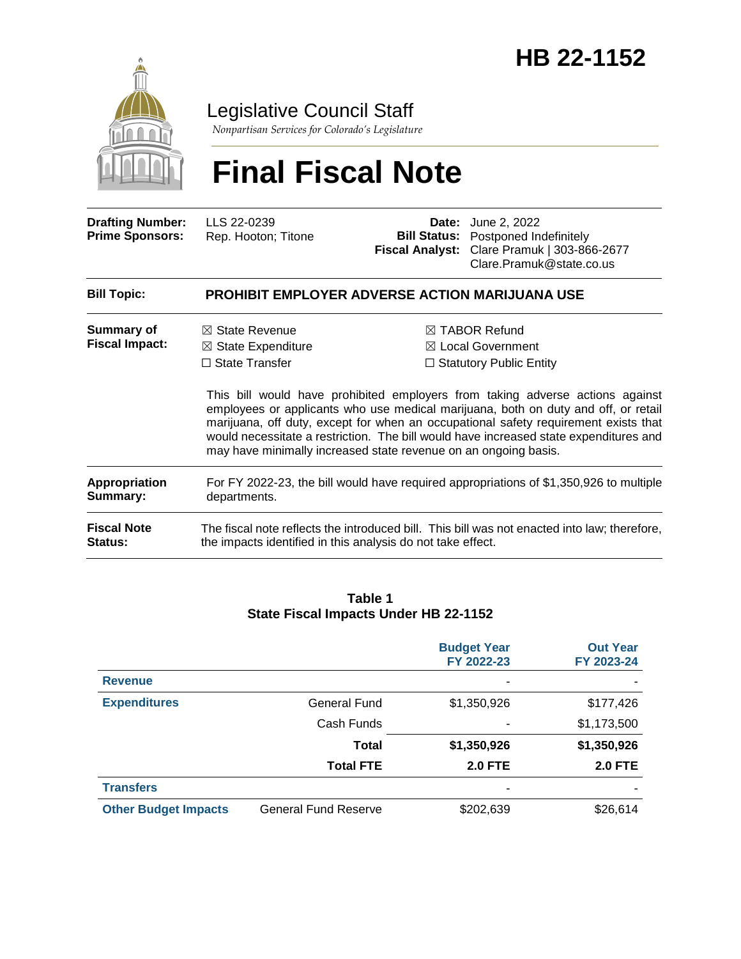

Legislative Council Staff

*Nonpartisan Services for Colorado's Legislature*

# **Final Fiscal Note**

| <b>Drafting Number:</b><br><b>Prime Sponsors:</b> | LLS 22-0239<br>Rep. Hooton; Titone                                                                                                                     | Date:<br><b>Fiscal Analyst:</b> | June 2, 2022<br><b>Bill Status:</b> Postponed Indefinitely<br>Clare Pramuk   303-866-2677<br>Clare.Pramuk@state.co.us                                                                                                                                                                                                                                                                                                                             |  |
|---------------------------------------------------|--------------------------------------------------------------------------------------------------------------------------------------------------------|---------------------------------|---------------------------------------------------------------------------------------------------------------------------------------------------------------------------------------------------------------------------------------------------------------------------------------------------------------------------------------------------------------------------------------------------------------------------------------------------|--|
| <b>Bill Topic:</b>                                | <b>PROHIBIT EMPLOYER ADVERSE ACTION MARIJUANA USE</b>                                                                                                  |                                 |                                                                                                                                                                                                                                                                                                                                                                                                                                                   |  |
| Summary of<br><b>Fiscal Impact:</b>               | $\boxtimes$ State Revenue<br>$\boxtimes$ State Expenditure<br>$\Box$ State Transfer<br>may have minimally increased state revenue on an ongoing basis. |                                 | $\boxtimes$ TABOR Refund<br>$\boxtimes$ Local Government<br>$\Box$ Statutory Public Entity<br>This bill would have prohibited employers from taking adverse actions against<br>employees or applicants who use medical marijuana, both on duty and off, or retail<br>marijuana, off duty, except for when an occupational safety requirement exists that<br>would necessitate a restriction. The bill would have increased state expenditures and |  |
| <b>Appropriation</b><br>Summary:                  | For FY 2022-23, the bill would have required appropriations of \$1,350,926 to multiple<br>departments.                                                 |                                 |                                                                                                                                                                                                                                                                                                                                                                                                                                                   |  |
| <b>Fiscal Note</b><br>Status:                     | the impacts identified in this analysis do not take effect.                                                                                            |                                 | The fiscal note reflects the introduced bill. This bill was not enacted into law; therefore,                                                                                                                                                                                                                                                                                                                                                      |  |

#### **Table 1 State Fiscal Impacts Under HB 22-1152**

|                             |                             | <b>Budget Year</b><br>FY 2022-23 | <b>Out Year</b><br>FY 2023-24 |
|-----------------------------|-----------------------------|----------------------------------|-------------------------------|
| <b>Revenue</b>              |                             |                                  |                               |
| <b>Expenditures</b>         | General Fund                | \$1,350,926                      | \$177,426                     |
|                             | Cash Funds                  |                                  | \$1,173,500                   |
|                             | <b>Total</b>                | \$1,350,926                      | \$1,350,926                   |
|                             | <b>Total FTE</b>            | <b>2.0 FTE</b>                   | <b>2.0 FTE</b>                |
| <b>Transfers</b>            |                             | ٠                                |                               |
| <b>Other Budget Impacts</b> | <b>General Fund Reserve</b> | \$202,639                        | \$26,614                      |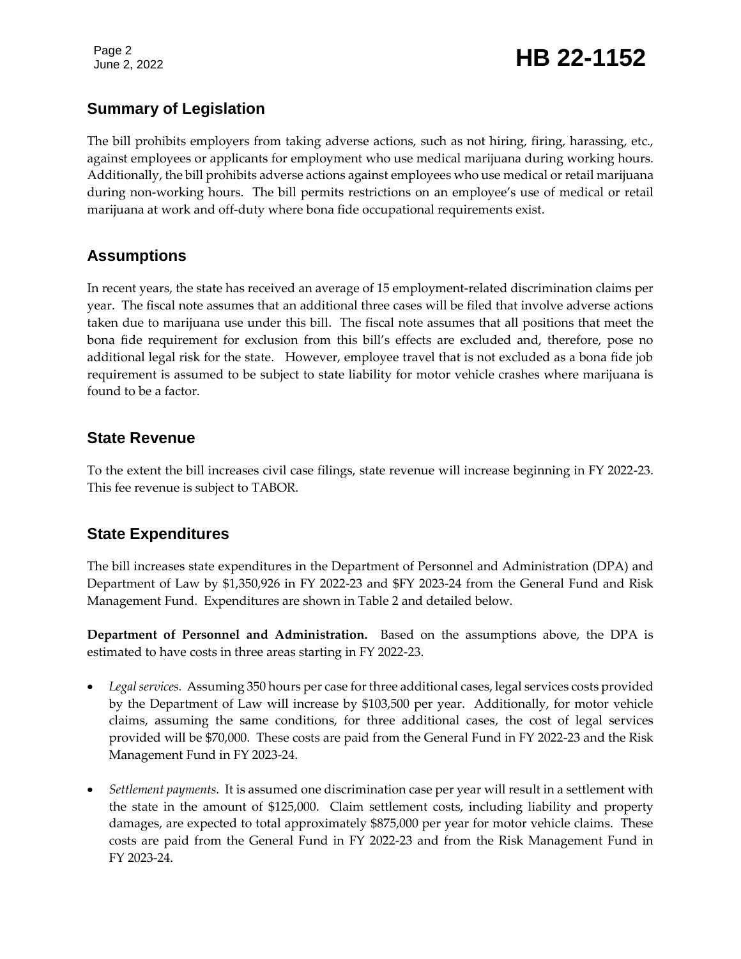Page 2

# Page 2<br>June 2, 2022 **HB 22-1152**

# **Summary of Legislation**

The bill prohibits employers from taking adverse actions, such as not hiring, firing, harassing, etc., against employees or applicants for employment who use medical marijuana during working hours. Additionally, the bill prohibits adverse actions against employees who use medical or retail marijuana during non-working hours. The bill permits restrictions on an employee's use of medical or retail marijuana at work and off-duty where bona fide occupational requirements exist.

# **Assumptions**

In recent years, the state has received an average of 15 employment-related discrimination claims per year. The fiscal note assumes that an additional three cases will be filed that involve adverse actions taken due to marijuana use under this bill. The fiscal note assumes that all positions that meet the bona fide requirement for exclusion from this bill's effects are excluded and, therefore, pose no additional legal risk for the state. However, employee travel that is not excluded as a bona fide job requirement is assumed to be subject to state liability for motor vehicle crashes where marijuana is found to be a factor.

# **State Revenue**

To the extent the bill increases civil case filings, state revenue will increase beginning in FY 2022-23. This fee revenue is subject to TABOR.

# **State Expenditures**

The bill increases state expenditures in the Department of Personnel and Administration (DPA) and Department of Law by \$1,350,926 in FY 2022-23 and \$FY 2023-24 from the General Fund and Risk Management Fund. Expenditures are shown in Table 2 and detailed below.

**Department of Personnel and Administration.** Based on the assumptions above, the DPA is estimated to have costs in three areas starting in FY 2022-23.

- *Legal services.* Assuming 350 hours per case for three additional cases, legal services costs provided by the Department of Law will increase by \$103,500 per year. Additionally, for motor vehicle claims, assuming the same conditions, for three additional cases, the cost of legal services provided will be \$70,000. These costs are paid from the General Fund in FY 2022-23 and the Risk Management Fund in FY 2023-24.
- *Settlement payments.* It is assumed one discrimination case per year will result in a settlement with the state in the amount of \$125,000. Claim settlement costs, including liability and property damages, are expected to total approximately \$875,000 per year for motor vehicle claims. These costs are paid from the General Fund in FY 2022-23 and from the Risk Management Fund in FY 2023-24.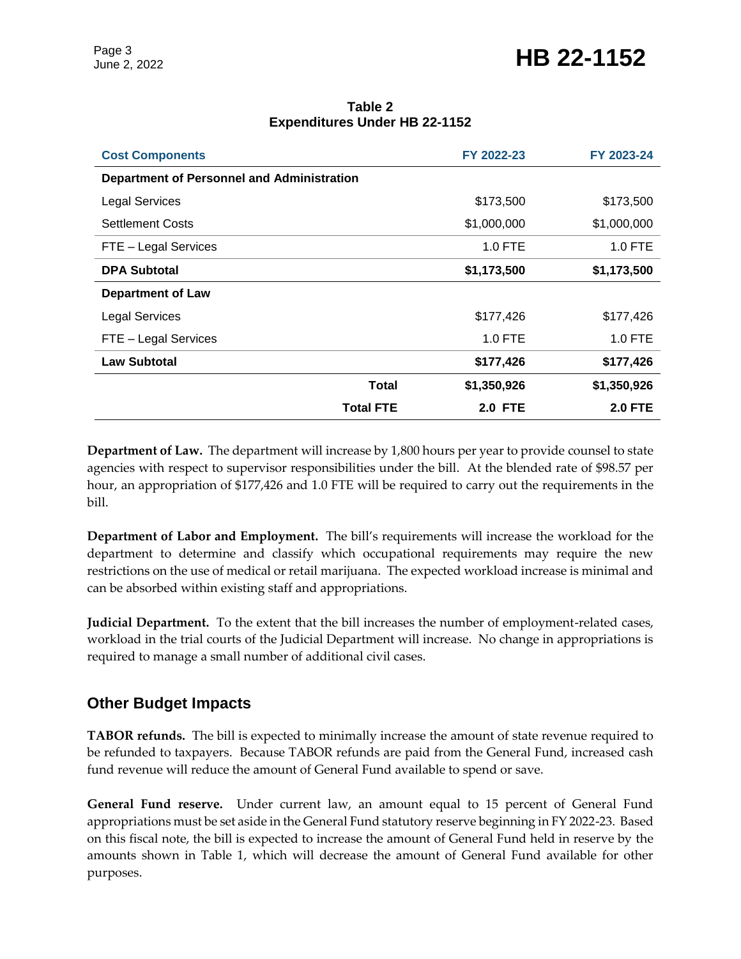| <b>Cost Components</b>                            |                  | FY 2022-23     | FY 2023-24     |  |
|---------------------------------------------------|------------------|----------------|----------------|--|
| <b>Department of Personnel and Administration</b> |                  |                |                |  |
| <b>Legal Services</b>                             |                  | \$173,500      | \$173,500      |  |
| <b>Settlement Costs</b>                           |                  | \$1,000,000    | \$1,000,000    |  |
| FTE - Legal Services                              |                  | 1.0 FTE        | 1.0 FTE        |  |
| <b>DPA Subtotal</b>                               |                  | \$1,173,500    | \$1,173,500    |  |
| <b>Department of Law</b>                          |                  |                |                |  |
| <b>Legal Services</b>                             |                  | \$177,426      | \$177,426      |  |
| FTE - Legal Services                              |                  | $1.0$ FTE      | 1.0 FTE        |  |
| <b>Law Subtotal</b>                               |                  | \$177,426      | \$177,426      |  |
|                                                   | <b>Total</b>     | \$1,350,926    | \$1,350,926    |  |
|                                                   | <b>Total FTE</b> | <b>2.0 FTE</b> | <b>2.0 FTE</b> |  |

#### **Table 2 Expenditures Under HB 22-1152**

**Department of Law.** The department will increase by 1,800 hours per year to provide counsel to state agencies with respect to supervisor responsibilities under the bill. At the blended rate of \$98.57 per hour, an appropriation of \$177,426 and 1.0 FTE will be required to carry out the requirements in the bill.

**Department of Labor and Employment.** The bill's requirements will increase the workload for the department to determine and classify which occupational requirements may require the new restrictions on the use of medical or retail marijuana. The expected workload increase is minimal and can be absorbed within existing staff and appropriations.

**Judicial Department.** To the extent that the bill increases the number of employment-related cases, workload in the trial courts of the Judicial Department will increase. No change in appropriations is required to manage a small number of additional civil cases.

# **Other Budget Impacts**

**TABOR refunds.** The bill is expected to minimally increase the amount of state revenue required to be refunded to taxpayers. Because TABOR refunds are paid from the General Fund, increased cash fund revenue will reduce the amount of General Fund available to spend or save.

**General Fund reserve.** Under current law, an amount equal to 15 percent of General Fund appropriations must be set aside in the General Fund statutory reserve beginning in FY 2022-23. Based on this fiscal note, the bill is expected to increase the amount of General Fund held in reserve by the amounts shown in Table 1, which will decrease the amount of General Fund available for other purposes.